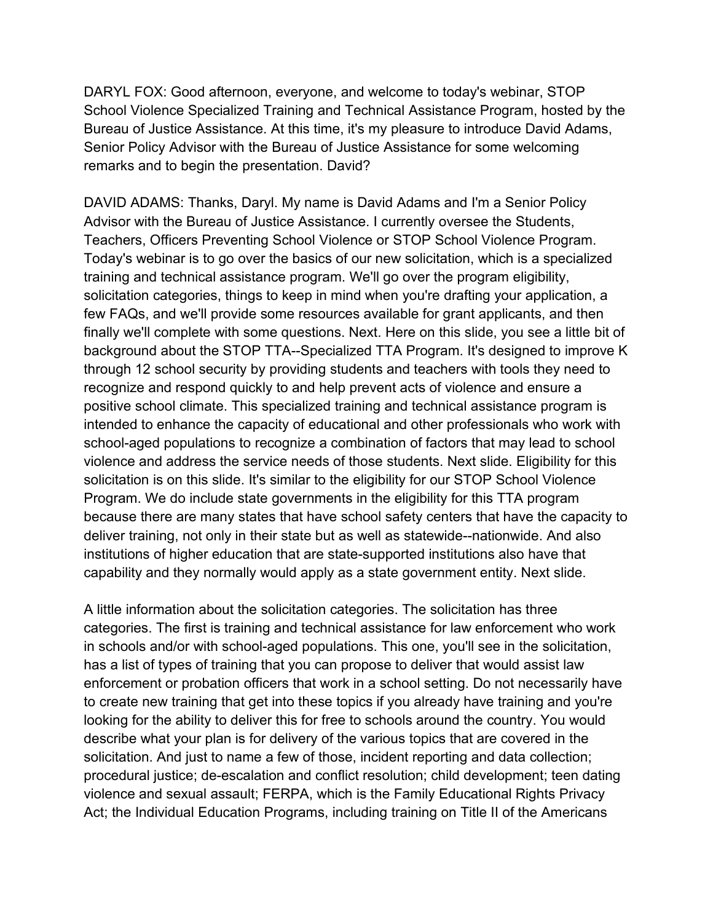DARYL FOX: Good afternoon, everyone, and welcome to today's webinar, STOP School Violence Specialized Training and Technical Assistance Program, hosted by the Bureau of Justice Assistance. At this time, it's my pleasure to introduce David Adams, Senior Policy Advisor with the Bureau of Justice Assistance for some welcoming remarks and to begin the presentation. David?

DAVID ADAMS: Thanks, Daryl. My name is David Adams and I'm a Senior Policy Advisor with the Bureau of Justice Assistance. I currently oversee the Students, Teachers, Officers Preventing School Violence or STOP School Violence Program. Today's webinar is to go over the basics of our new solicitation, which is a specialized training and technical assistance program. We'll go over the program eligibility, solicitation categories, things to keep in mind when you're drafting your application, a few FAQs, and we'll provide some resources available for grant applicants, and then finally we'll complete with some questions. Next. Here on this slide, you see a little bit of background about the STOP TTA--Specialized TTA Program. It's designed to improve K through 12 school security by providing students and teachers with tools they need to recognize and respond quickly to and help prevent acts of violence and ensure a positive school climate. This specialized training and technical assistance program is intended to enhance the capacity of educational and other professionals who work with school-aged populations to recognize a combination of factors that may lead to school violence and address the service needs of those students. Next slide. Eligibility for this solicitation is on this slide. It's similar to the eligibility for our STOP School Violence Program. We do include state governments in the eligibility for this TTA program because there are many states that have school safety centers that have the capacity to deliver training, not only in their state but as well as statewide--nationwide. And also institutions of higher education that are state-supported institutions also have that capability and they normally would apply as a state government entity. Next slide.

A little information about the solicitation categories. The solicitation has three categories. The first is training and technical assistance for law enforcement who work in schools and/or with school-aged populations. This one, you'll see in the solicitation, has a list of types of training that you can propose to deliver that would assist law enforcement or probation officers that work in a school setting. Do not necessarily have to create new training that get into these topics if you already have training and you're looking for the ability to deliver this for free to schools around the country. You would describe what your plan is for delivery of the various topics that are covered in the solicitation. And just to name a few of those, incident reporting and data collection; procedural justice; de-escalation and conflict resolution; child development; teen dating violence and sexual assault; FERPA, which is the Family Educational Rights Privacy Act; the Individual Education Programs, including training on Title II of the Americans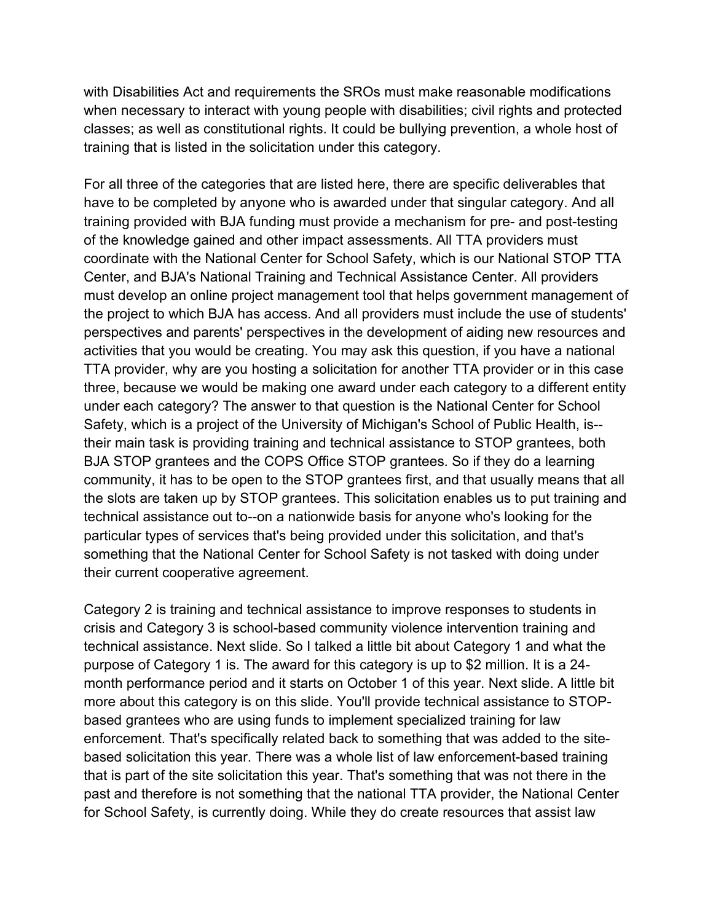with Disabilities Act and requirements the SROs must make reasonable modifications when necessary to interact with young people with disabilities; civil rights and protected classes; as well as constitutional rights. It could be bullying prevention, a whole host of training that is listed in the solicitation under this category.

For all three of the categories that are listed here, there are specific deliverables that have to be completed by anyone who is awarded under that singular category. And all training provided with BJA funding must provide a mechanism for pre- and post-testing of the knowledge gained and other impact assessments. All TTA providers must coordinate with the National Center for School Safety, which is our National STOP TTA Center, and BJA's National Training and Technical Assistance Center. All providers must develop an online project management tool that helps government management of the project to which BJA has access. And all providers must include the use of students' perspectives and parents' perspectives in the development of aiding new resources and activities that you would be creating. You may ask this question, if you have a national TTA provider, why are you hosting a solicitation for another TTA provider or in this case three, because we would be making one award under each category to a different entity under each category? The answer to that question is the National Center for School Safety, which is a project of the University of Michigan's School of Public Health, is- their main task is providing training and technical assistance to STOP grantees, both BJA STOP grantees and the COPS Office STOP grantees. So if they do a learning community, it has to be open to the STOP grantees first, and that usually means that all the slots are taken up by STOP grantees. This solicitation enables us to put training and technical assistance out to--on a nationwide basis for anyone who's looking for the particular types of services that's being provided under this solicitation, and that's something that the National Center for School Safety is not tasked with doing under their current cooperative agreement.

Category 2 is training and technical assistance to improve responses to students in crisis and Category 3 is school-based community violence intervention training and technical assistance. Next slide. So I talked a little bit about Category 1 and what the purpose of Category 1 is. The award for this category is up to \$2 million. It is a 24 month performance period and it starts on October 1 of this year. Next slide. A little bit more about this category is on this slide. You'll provide technical assistance to STOPbased grantees who are using funds to implement specialized training for law enforcement. That's specifically related back to something that was added to the sitebased solicitation this year. There was a whole list of law enforcement-based training that is part of the site solicitation this year. That's something that was not there in the past and therefore is not something that the national TTA provider, the National Center for School Safety, is currently doing. While they do create resources that assist law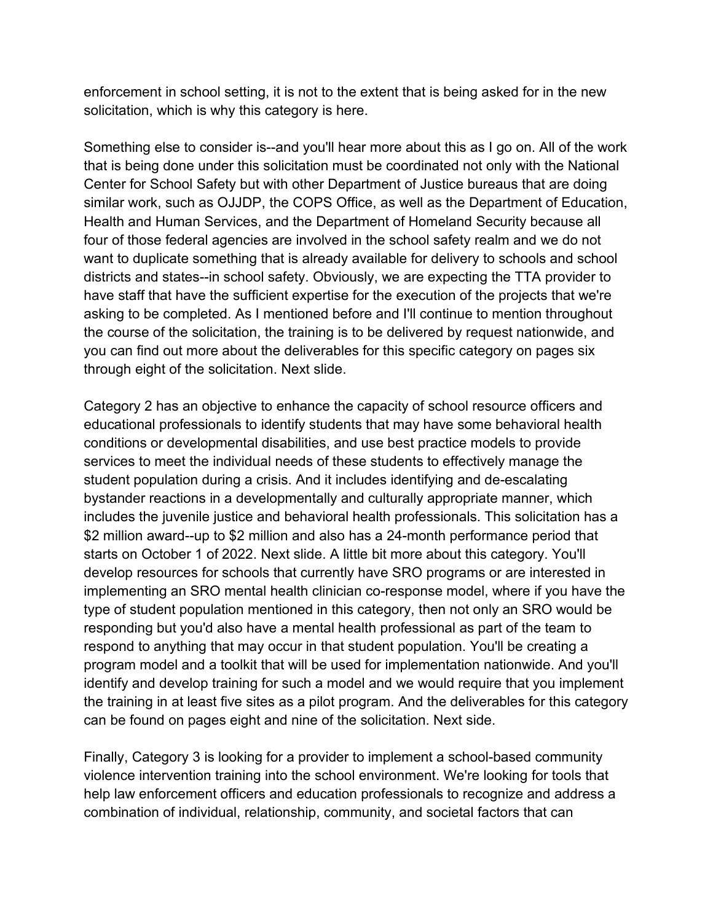enforcement in school setting, it is not to the extent that is being asked for in the new solicitation, which is why this category is here.

Something else to consider is--and you'll hear more about this as I go on. All of the work that is being done under this solicitation must be coordinated not only with the National Center for School Safety but with other Department of Justice bureaus that are doing similar work, such as OJJDP, the COPS Office, as well as the Department of Education, Health and Human Services, and the Department of Homeland Security because all four of those federal agencies are involved in the school safety realm and we do not want to duplicate something that is already available for delivery to schools and school districts and states--in school safety. Obviously, we are expecting the TTA provider to have staff that have the sufficient expertise for the execution of the projects that we're asking to be completed. As I mentioned before and I'll continue to mention throughout the course of the solicitation, the training is to be delivered by request nationwide, and you can find out more about the deliverables for this specific category on pages six through eight of the solicitation. Next slide.

Category 2 has an objective to enhance the capacity of school resource officers and educational professionals to identify students that may have some behavioral health conditions or developmental disabilities, and use best practice models to provide services to meet the individual needs of these students to effectively manage the student population during a crisis. And it includes identifying and de-escalating bystander reactions in a developmentally and culturally appropriate manner, which includes the juvenile justice and behavioral health professionals. This solicitation has a \$2 million award--up to \$2 million and also has a 24-month performance period that starts on October 1 of 2022. Next slide. A little bit more about this category. You'll develop resources for schools that currently have SRO programs or are interested in implementing an SRO mental health clinician co-response model, where if you have the type of student population mentioned in this category, then not only an SRO would be responding but you'd also have a mental health professional as part of the team to respond to anything that may occur in that student population. You'll be creating a program model and a toolkit that will be used for implementation nationwide. And you'll identify and develop training for such a model and we would require that you implement the training in at least five sites as a pilot program. And the deliverables for this category can be found on pages eight and nine of the solicitation. Next side.

Finally, Category 3 is looking for a provider to implement a school-based community violence intervention training into the school environment. We're looking for tools that help law enforcement officers and education professionals to recognize and address a combination of individual, relationship, community, and societal factors that can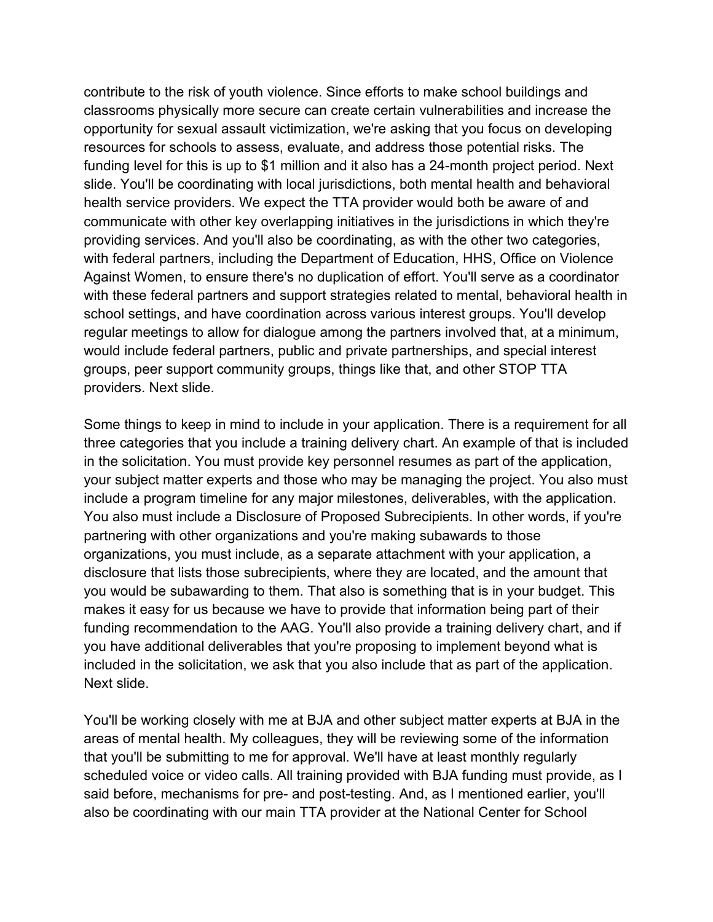contribute to the risk of youth violence. Since efforts to make school buildings and classrooms physically more secure can create certain vulnerabilities and increase the opportunity for sexual assault victimization, we're asking that you focus on developing resources for schools to assess, evaluate, and address those potential risks. The funding level for this is up to \$1 million and it also has a 24-month project period. Next slide. You'll be coordinating with local jurisdictions, both mental health and behavioral health service providers. We expect the TTA provider would both be aware of and communicate with other key overlapping initiatives in the jurisdictions in which they're providing services. And you'll also be coordinating, as with the other two categories, with federal partners, including the Department of Education, HHS, Office on Violence Against Women, to ensure there's no duplication of effort. You'll serve as a coordinator with these federal partners and support strategies related to mental, behavioral health in school settings, and have coordination across various interest groups. You'll develop regular meetings to allow for dialogue among the partners involved that, at a minimum, would include federal partners, public and private partnerships, and special interest groups, peer support community groups, things like that, and other STOP TTA providers. Next slide.

Some things to keep in mind to include in your application. There is a requirement for all three categories that you include a training delivery chart. An example of that is included in the solicitation. You must provide key personnel resumes as part of the application, your subject matter experts and those who may be managing the project. You also must include a program timeline for any major milestones, deliverables, with the application. You also must include a Disclosure of Proposed Subrecipients. In other words, if you're partnering with other organizations and you're making subawards to those organizations, you must include, as a separate attachment with your application, a disclosure that lists those subrecipients, where they are located, and the amount that you would be subawarding to them. That also is something that is in your budget. This makes it easy for us because we have to provide that information being part of their funding recommendation to the AAG. You'll also provide a training delivery chart, and if you have additional deliverables that you're proposing to implement beyond what is included in the solicitation, we ask that you also include that as part of the application. Next slide.

You'll be working closely with me at BJA and other subject matter experts at BJA in the areas of mental health. My colleagues, they will be reviewing some of the information that you'll be submitting to me for approval. We'll have at least monthly regularly scheduled voice or video calls. All training provided with BJA funding must provide, as I said before, mechanisms for pre- and post-testing. And, as I mentioned earlier, you'll also be coordinating with our main TTA provider at the National Center for School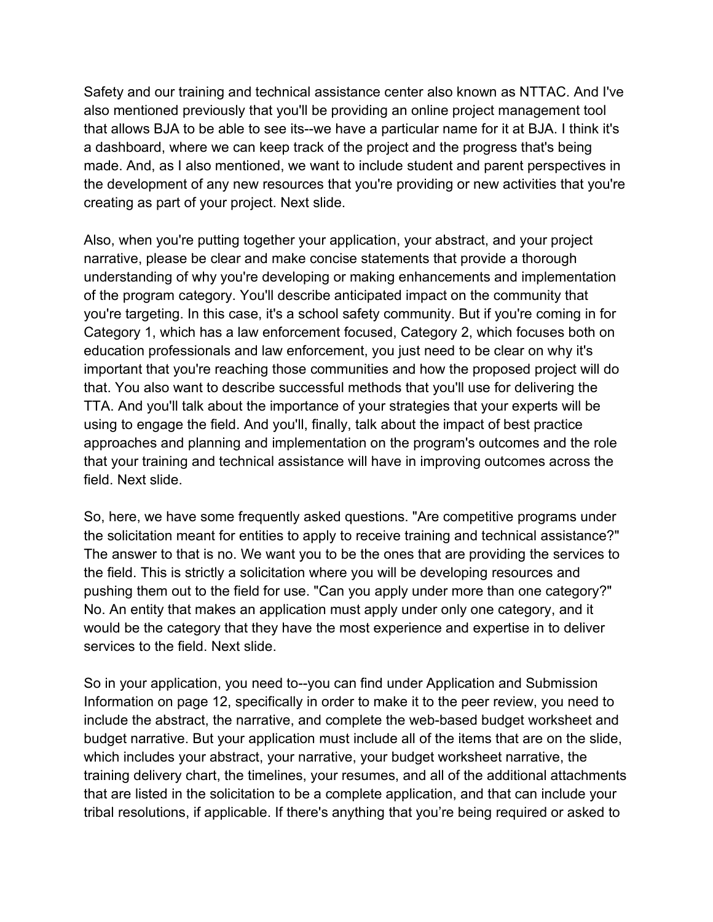Safety and our training and technical assistance center also known as NTTAC. And I've also mentioned previously that you'll be providing an online project management tool that allows BJA to be able to see its--we have a particular name for it at BJA. I think it's a dashboard, where we can keep track of the project and the progress that's being made. And, as I also mentioned, we want to include student and parent perspectives in the development of any new resources that you're providing or new activities that you're creating as part of your project. Next slide.

Also, when you're putting together your application, your abstract, and your project narrative, please be clear and make concise statements that provide a thorough understanding of why you're developing or making enhancements and implementation of the program category. You'll describe anticipated impact on the community that you're targeting. In this case, it's a school safety community. But if you're coming in for Category 1, which has a law enforcement focused, Category 2, which focuses both on education professionals and law enforcement, you just need to be clear on why it's important that you're reaching those communities and how the proposed project will do that. You also want to describe successful methods that you'll use for delivering the TTA. And you'll talk about the importance of your strategies that your experts will be using to engage the field. And you'll, finally, talk about the impact of best practice approaches and planning and implementation on the program's outcomes and the role that your training and technical assistance will have in improving outcomes across the field. Next slide.

So, here, we have some frequently asked questions. "Are competitive programs under the solicitation meant for entities to apply to receive training and technical assistance?" The answer to that is no. We want you to be the ones that are providing the services to the field. This is strictly a solicitation where you will be developing resources and pushing them out to the field for use. "Can you apply under more than one category?" No. An entity that makes an application must apply under only one category, and it would be the category that they have the most experience and expertise in to deliver services to the field. Next slide.

So in your application, you need to--you can find under Application and Submission Information on page 12, specifically in order to make it to the peer review, you need to include the abstract, the narrative, and complete the web-based budget worksheet and budget narrative. But your application must include all of the items that are on the slide, which includes your abstract, your narrative, your budget worksheet narrative, the training delivery chart, the timelines, your resumes, and all of the additional attachments that are listed in the solicitation to be a complete application, and that can include your tribal resolutions, if applicable. If there's anything that you're being required or asked to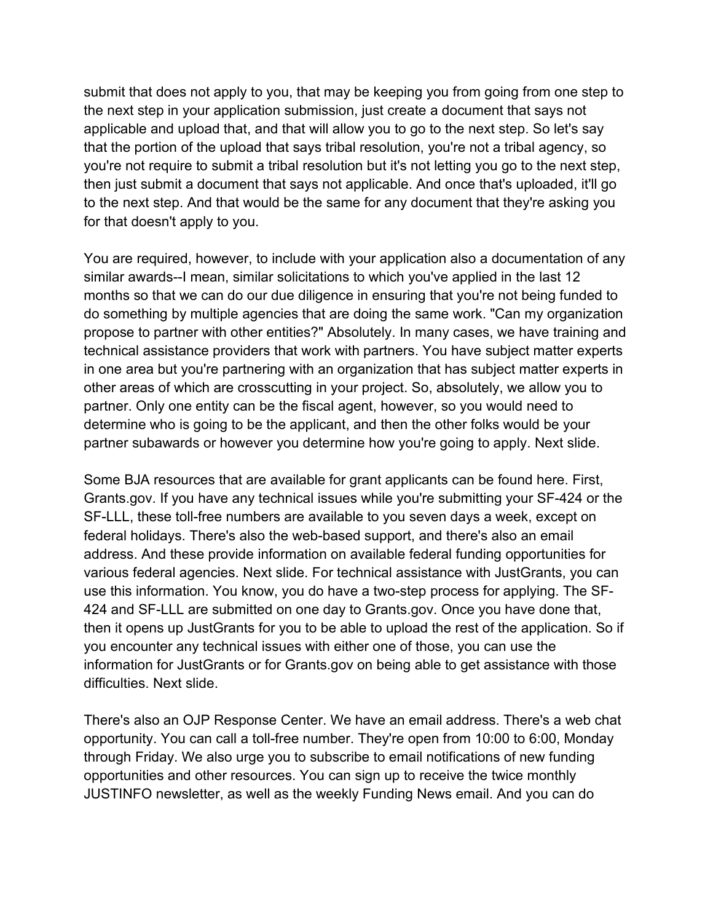submit that does not apply to you, that may be keeping you from going from one step to the next step in your application submission, just create a document that says not applicable and upload that, and that will allow you to go to the next step. So let's say that the portion of the upload that says tribal resolution, you're not a tribal agency, so you're not require to submit a tribal resolution but it's not letting you go to the next step, then just submit a document that says not applicable. And once that's uploaded, it'll go to the next step. And that would be the same for any document that they're asking you for that doesn't apply to you.

You are required, however, to include with your application also a documentation of any similar awards--I mean, similar solicitations to which you've applied in the last 12 months so that we can do our due diligence in ensuring that you're not being funded to do something by multiple agencies that are doing the same work. "Can my organization propose to partner with other entities?" Absolutely. In many cases, we have training and technical assistance providers that work with partners. You have subject matter experts in one area but you're partnering with an organization that has subject matter experts in other areas of which are crosscutting in your project. So, absolutely, we allow you to partner. Only one entity can be the fiscal agent, however, so you would need to determine who is going to be the applicant, and then the other folks would be your partner subawards or however you determine how you're going to apply. Next slide.

Some BJA resources that are available for grant applicants can be found here. First, Grants.gov. If you have any technical issues while you're submitting your SF-424 or the SF-LLL, these toll-free numbers are available to you seven days a week, except on federal holidays. There's also the web-based support, and there's also an email address. And these provide information on available federal funding opportunities for various federal agencies. Next slide. For technical assistance with JustGrants, you can use this information. You know, you do have a two-step process for applying. The SF-424 and SF-LLL are submitted on one day to Grants.gov. Once you have done that, then it opens up JustGrants for you to be able to upload the rest of the application. So if you encounter any technical issues with either one of those, you can use the information for JustGrants or for Grants.gov on being able to get assistance with those difficulties. Next slide.

There's also an OJP Response Center. We have an email address. There's a web chat opportunity. You can call a toll-free number. They're open from 10:00 to 6:00, Monday through Friday. We also urge you to subscribe to email notifications of new funding opportunities and other resources. You can sign up to receive the twice monthly JUSTINFO newsletter, as well as the weekly Funding News email. And you can do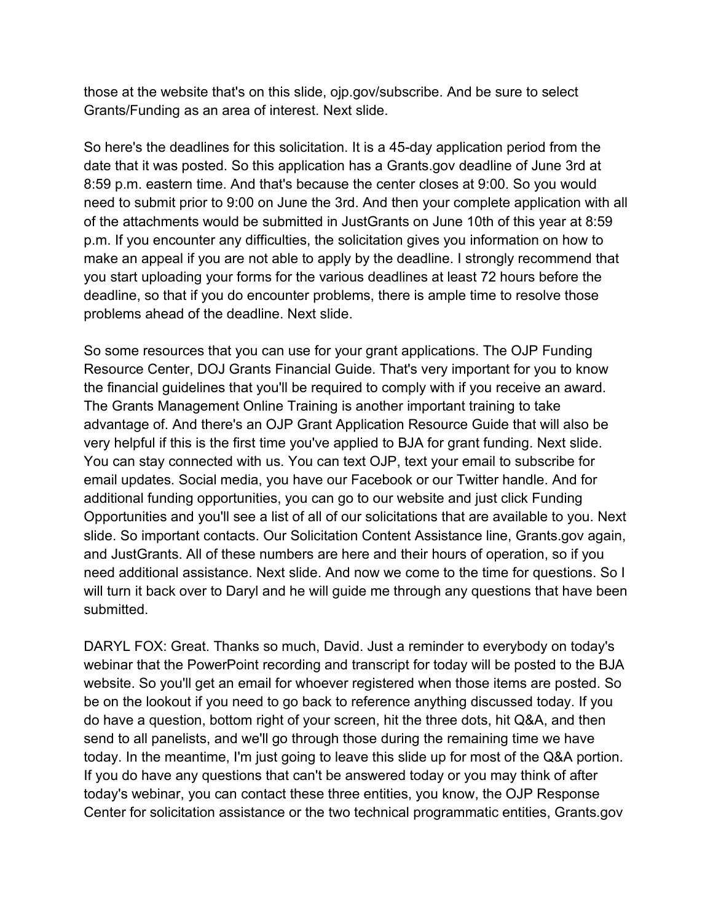those at the website that's on this slide, ojp.gov/subscribe. And be sure to select Grants/Funding as an area of interest. Next slide.

So here's the deadlines for this solicitation. It is a 45-day application period from the date that it was posted. So this application has a Grants.gov deadline of June 3rd at 8:59 p.m. eastern time. And that's because the center closes at 9:00. So you would need to submit prior to 9:00 on June the 3rd. And then your complete application with all of the attachments would be submitted in JustGrants on June 10th of this year at 8:59 p.m. If you encounter any difficulties, the solicitation gives you information on how to make an appeal if you are not able to apply by the deadline. I strongly recommend that you start uploading your forms for the various deadlines at least 72 hours before the deadline, so that if you do encounter problems, there is ample time to resolve those problems ahead of the deadline. Next slide.

So some resources that you can use for your grant applications. The OJP Funding Resource Center, DOJ Grants Financial Guide. That's very important for you to know the financial guidelines that you'll be required to comply with if you receive an award. The Grants Management Online Training is another important training to take advantage of. And there's an OJP Grant Application Resource Guide that will also be very helpful if this is the first time you've applied to BJA for grant funding. Next slide. You can stay connected with us. You can text OJP, text your email to subscribe for email updates. Social media, you have our Facebook or our Twitter handle. And for additional funding opportunities, you can go to our website and just click Funding Opportunities and you'll see a list of all of our solicitations that are available to you. Next slide. So important contacts. Our Solicitation Content Assistance line, Grants.gov again, and JustGrants. All of these numbers are here and their hours of operation, so if you need additional assistance. Next slide. And now we come to the time for questions. So I will turn it back over to Daryl and he will guide me through any questions that have been submitted.

DARYL FOX: Great. Thanks so much, David. Just a reminder to everybody on today's webinar that the PowerPoint recording and transcript for today will be posted to the BJA website. So you'll get an email for whoever registered when those items are posted. So be on the lookout if you need to go back to reference anything discussed today. If you do have a question, bottom right of your screen, hit the three dots, hit Q&A, and then send to all panelists, and we'll go through those during the remaining time we have today. In the meantime, I'm just going to leave this slide up for most of the Q&A portion. If you do have any questions that can't be answered today or you may think of after today's webinar, you can contact these three entities, you know, the OJP Response Center for solicitation assistance or the two technical programmatic entities, Grants.gov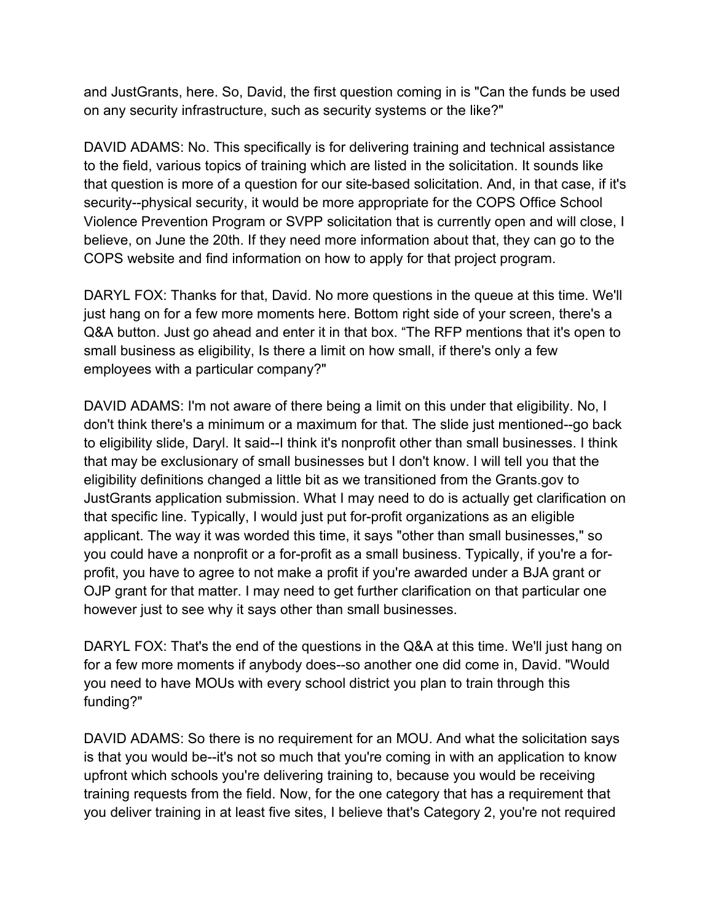and JustGrants, here. So, David, the first question coming in is "Can the funds be used on any security infrastructure, such as security systems or the like?"

DAVID ADAMS: No. This specifically is for delivering training and technical assistance to the field, various topics of training which are listed in the solicitation. It sounds like that question is more of a question for our site-based solicitation. And, in that case, if it's security--physical security, it would be more appropriate for the COPS Office School Violence Prevention Program or SVPP solicitation that is currently open and will close, I believe, on June the 20th. If they need more information about that, they can go to the COPS website and find information on how to apply for that project program.

DARYL FOX: Thanks for that, David. No more questions in the queue at this time. We'll just hang on for a few more moments here. Bottom right side of your screen, there's a Q&A button. Just go ahead and enter it in that box. "The RFP mentions that it's open to small business as eligibility, Is there a limit on how small, if there's only a few employees with a particular company?"

DAVID ADAMS: I'm not aware of there being a limit on this under that eligibility. No, I don't think there's a minimum or a maximum for that. The slide just mentioned--go back to eligibility slide, Daryl. It said--I think it's nonprofit other than small businesses. I think that may be exclusionary of small businesses but I don't know. I will tell you that the eligibility definitions changed a little bit as we transitioned from the Grants.gov to JustGrants application submission. What I may need to do is actually get clarification on that specific line. Typically, I would just put for-profit organizations as an eligible applicant. The way it was worded this time, it says "other than small businesses," so you could have a nonprofit or a for-profit as a small business. Typically, if you're a forprofit, you have to agree to not make a profit if you're awarded under a BJA grant or OJP grant for that matter. I may need to get further clarification on that particular one however just to see why it says other than small businesses.

DARYL FOX: That's the end of the questions in the Q&A at this time. We'll just hang on for a few more moments if anybody does--so another one did come in, David. "Would you need to have MOUs with every school district you plan to train through this funding?"

DAVID ADAMS: So there is no requirement for an MOU. And what the solicitation says is that you would be--it's not so much that you're coming in with an application to know upfront which schools you're delivering training to, because you would be receiving training requests from the field. Now, for the one category that has a requirement that you deliver training in at least five sites, I believe that's Category 2, you're not required